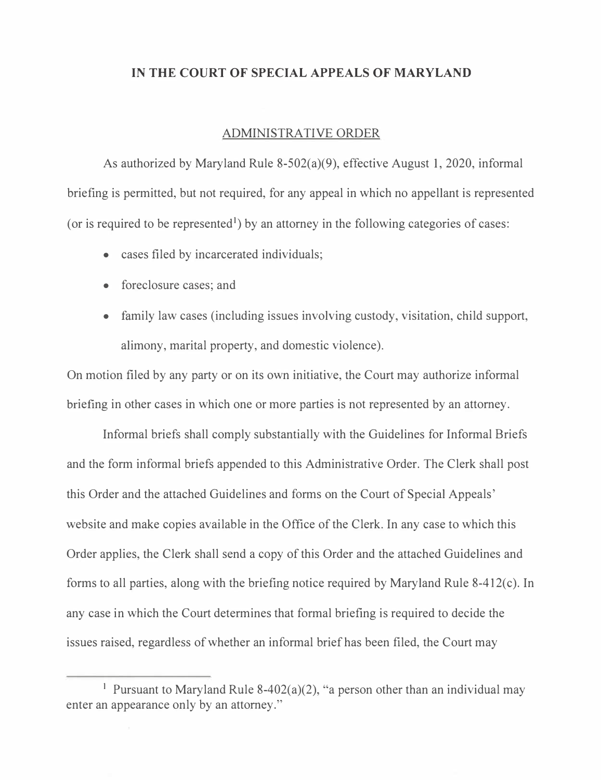## **IN THE COURT OF SPECIAL APPEALS OF MARYLAND**

## ADMINISTRATIVE ORDER

As authorized by Maryland Rule 8-502(a)(9), effective August 1, 2020, informal briefing is permitted, but not required, for any appeal in which no appellant is represented (or is required to be represented<sup>1</sup>) by an attorney in the following categories of cases:

- cases filed by incarcerated individuals;
- foreclosure cases; and
- family law cases (including issues involving custody, visitation, child support, alimony, marital property, and domestic violence).

On motion filed by any party or on its own initiative, the Court may authorize informal briefing in other cases in which one or more parties is not represented by an attorney.

Informal briefs shall comply substantially with the Guidelines for Informal Briefs and the form informal briefs appended to this Administrative Order. The Clerk shall post this Order and the attached Guidelines and forms on the Court of Special Appeals' website and make copies available in the Office of the Clerk. In any case to which this Order applies, the Clerk shall send a copy of this Order and the attached Guidelines and forms to all parties, along with the briefing notice required by Maryland Rule 8-412(c). In any case in which the Court determines that formal briefing is required to decide the issues raised, regardless of whether an informal brief has been filed, the Court may

<sup>&</sup>lt;sup>1</sup> Pursuant to Maryland Rule 8-402(a)(2), "a person other than an individual may enter an appearance only by an attorney."